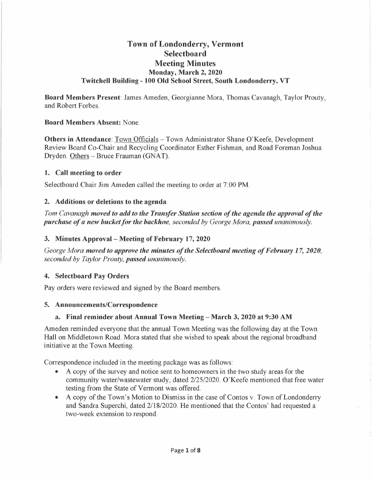# **Town of Londonderry, Vermont Selectboard Meeting Minutes Monday, March 2, 2020 Twitchell Building - 100 Old School Street, South Londonderry, VT**

**Board Members Present:** James Ameden, Georgianne Mora, Thomas Cavanagh, Taylor Prouty, and Robert Forbes.

#### **Board Members Absent:** None.

**Others in Attendance**: Town Officials – Town Administrator Shane O'Keefe, Development Review Board Co-Chair and Recycling Coordinator Esther Fishman, and Road Foreman Joshua Dryden. Others -Bruce Frauman (GNAT).

#### **1. Call meeting to order**

Selectboard Chair Jim Ameden called the meeting to order at 7:00 PM.

#### **2. Additions or deletions to the agenda**

*Tom Cavanagh moved to add to the Transfer Station section of the agenda the approval of the purchase of a new bucket for the backhoe, seconded by George Mora, passed unanimously.* 

#### **3. Minutes Approval - Meeting of February 17, 2020**

*George Mora moved to approve the minutes of the Selectboard meeting of February 17, 2020, seconded by Taylor Prouty, passed unanimously.* 

# **4. Selectboard Pay Orders**

Pay orders were reviewed and signed by the Board members.

#### **5. Announcements/Correspondence**

# **a. Final reminder about Annual Town Meeting - March 3, 2020 at 9:30 AM**

Ameden reminded everyone that the annual Town Meeting was the following day at the Town Hall on Middletown Road. Mora stated that she wished to speak about the regional broadband initiative at the Town Meeting.

Correspondence included in the meeting package was as follows:

- A copy of the survey and notice sent to homeowners in the two study areas for the community water/wastewater study, dated 2/25/2020. O'Keefe mentioned that free water testing from the State of Vermont was offered.
- A copy of the Town's Motion to Dismiss in the case of Contos v. Town of Londonderry and Sandra Superchi, dated 2/18/2020. He mentioned that the Contos' had requested a two-week extension to respond.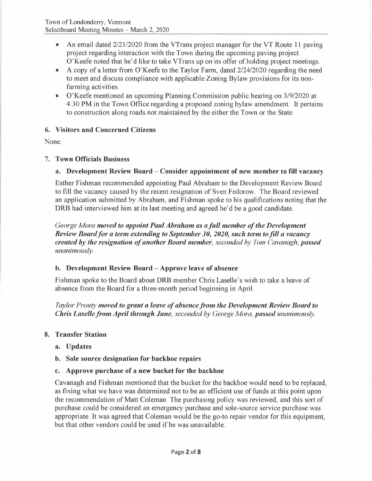- An email dated  $2/21/2020$  from the VTrans project manager for the VT Route 11 paving project regarding interaction with the Town during the upcoming paving project. O'Keefe noted that he'd like to take VTrans up on its offer of holding project meetings.
- A copy of a letter from O'Keefe to the Taylor Farm, dated 2/24/2020 regarding the need to meet and discuss compliance with applicable Zoning Bylaw provisions for its nonfarming activities.
- O'Keefe mentioned an upcoming Planning Commission public hearing on 3/9/2020 at 4:30 PM in the Town Office regarding a proposed zoning bylaw amendment. It pertains to construction along roads not maintained by the either the Town or the State.

# **6. Visitors and Concerned Citizens**

None.

# 7. **Town Officials Business**

# **a. Development Review Board - Consider appointment of new member to fill vacancy**

Esther Fishman recommended appointing Paul Abraham to the Development Review Board to fill the vacancy caused by the recent resignation of Sven Fedorow. The Board reviewed an application submitted by Abraham, and Fishman spoke to his qualifications noting that the **DRB** had interviewed him at its last meeting and agreed he'd be a good candidate.

*George Mora moved to appoint Paul Abraham as a full member of the Development Review Board for a term extending to September 3 0, 2020, such term to fill a vacancy created by the resignation of another Board member, seconded by Tom Cavanagh, passed unanimously.* 

# **b. Development Review Board - Approve leave of absence**

Fishman spoke to the Board about **DRB** member Chris Laselle's wish to take a leave of absence from the Board for a three-month period beginning in April.

*Taylor Prouty moved to grant a leave of absence from the Development Review Board to Chris Laselle from April through June, seconded by George Mora, passed unanimously.* 

# **8. Transfer Station**

- **a. Updates**
- **b. Sole source designation for backhoe repairs**
- **c. Approve purchase of a new bucket for the backhoe**

Cavanagh and Fishman mentioned that the bucket for the backhoe would need to be replaced, as fixing what we have was determined not to be an efficient use of funds at this point upon the recommendation of Matt Coleman. The purchasing policy was reviewed, and this sort of purchase could be considered an emergency purchase and sole-source service purchase was appropriate. It was agreed that Coleman would be the go-to repair vendor for this equipment, but that other vendors could be used if he was unavailable.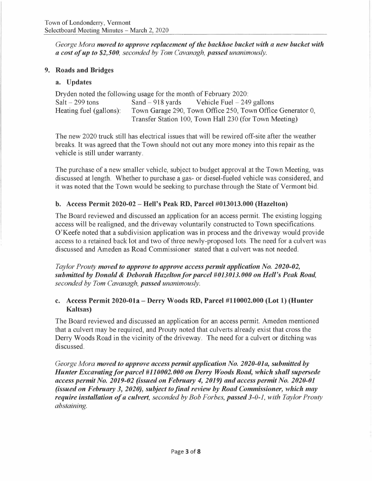*George Mora moved to approve replacement of the backhoe bucket with a new bucket with {I cost of up to \$2,500, seconded by Tom Cavanagh, passed unanimously.* 

# **9. Roads and Bridges**

# **a. Updates**

| Dryden noted the following usage for the month of February 2020: |  |                                                            |
|------------------------------------------------------------------|--|------------------------------------------------------------|
| $Salt - 299$ tons                                                |  | Sand $-918$ yards Vehicle Fuel $-249$ gallons              |
| Heating fuel (gallons):                                          |  | Town Garage 290, Town Office 250, Town Office Generator 0, |
|                                                                  |  | Transfer Station 100, Town Hall 230 (for Town Meeting)     |

The new 2020 truck still has electrical issues that will be rewired off-site after the weather breaks. It was agreed that the Town should not out any more money into this repair as the vehicle is still under warranty.

The purchase of a new smaller vehicle, subject to budget approval at the Town Meeting, was discussed at length. Whether to purchase a gas- or diesel-fueled vehicle was considered, and it was noted that the Town would be seeking to purchase through the State of Vermont bid.

# **b. Access Permit 2020-02 - Hell's Peak RD, Parcel #013013.000 (Hazelton)**

The Board reviewed and discussed an application for an access permit. The existing logging access will be realigned, and the driveway voluntarily constructed to Town specifications. O'Keefe noted that a subdivision application was in process and the driveway would provide access to a retained back lot and two of three newly-proposed lots. The need for a culvert was discussed and Ameden as Road Commissioner stated that a culvert was not needed.

*Taylor Prouty moved to approve to approve access permit application No. 2020-02, submitted by Donald* & *Deborah Hazelton for parcel #013013.000 on Hell's Peak Road, seconded by Tom Cavanagh, passed unanimously.* 

# **c. Access Permit 2020-0la - Derry Woods RD, Parcel #110002.000 (Lot 1) (Hunter Kaltsas)**

The Board reviewed and discussed an application for an access permit. Ameden mentioned that a culvert may be required, and Prouty noted that culverts already exist that cross the Derry Woods Road in the vicinity of the driveway. The need for a culvert or ditching was discussed.

*George Mora moved to approve access permit application No. 2020-01 a, submitted by Hunter Excavating for parcel #110002.000 on Derry Woods Road, which shall supersede access permit No. 2019-02 (issued on February 4, 2019) and access permit No. 2020-01 (issued on February 3, 2020), subject to final review by Road Commissioner, which may require installation of a culvert, seconded by Bob Forbes, passed 3-0-1, with Taylor Prouty abstaining.*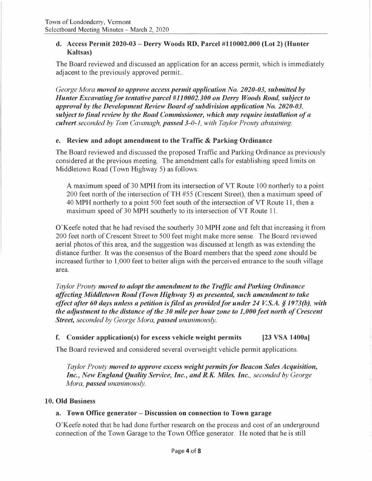#### **d. Access Permit 2020-03 - Derry Woods RD, Parcel #110002.000 (Lot 2) (Hunter Kaltsas)**

The Board reviewed and discussed an application for an access permit, which is immediately adjacent to the previously approved permit...

*George Mora moved to approve access permit application No. 2020-03, submitted by Hunter Excavating for tentative parcel #110002.300 on Derry Woods Road, subject to approval by the Development Review Board of subdivision application No. 2020-03, subject to final review by the Road Commissioner, which may require installation of a culvert seconded by Tom Cavanagh, passed 3-0-1, with Taylor Prouty abstaining.* 

# **e. Review and adopt amendment to the Traffic** & **Parking Ordinance**

The Board reviewed and discussed the proposed Traffic and Parking Ordinance as previously considered at the previous meeting. The amendment calls for establishing speed limits on Middletown Road (Town Highway 5) as follows:

A maximum speed of 30 MPH from its intersection of VT Route 100 northerly to a point 200 feet north of the intersection of TH #55 (Crescent Street), then a maximum speed of 40 **MPH** northerly to a point 500 feet south of the intersection of VT Route 11, then a maximum speed of 30 MPH southerly to its intersection of VT Route 11.

O'Keefe noted that he had revised the southerly 30 MPH zone and felt that increasing it from 200 feet north of Crescent Street to 500 feet might make more sense. The Board reviewed aerial photos of this area, and the suggestion was discussed at length as was extending the distance further. It was the consensus of the Board members that the speed zone should be increased further to 1,000 feet to better align with the perceived entrance to the south village area.

*Taylor Prouty moved to adopt the amendment to the Traffic and Parking Ordinance affecting Middletown Road (Town Highway 5) as presented, such amendment to take effect after 60 days unless a petition is filed as provided for under 24 V.S.A. § 1973(b), with the adjustment to the distance of the 30 mile per hour zone to 1,000 feet north of Crescent Street, seconded by George Mora, passed unanimously.* 

# **f. Consider application(s) for excess vehicle weight permits [23 VSA 1400a]**

The Board reviewed and considered several overweight vehicle permit applications.

*Taylor Prouty moved to approve excess weight permits for Beacon Sales Acquisition, Inc., New England Quality Service, Inc., and R.K. Miles. Inc., seconded by George Mora, passed unanimously.* 

#### **10. Old Business**

# **a. Town Office generator - Discussion on connection to Town garage**

O'Keefe noted that he had done further research on the process and cost of an underground connection of the Town Garage to the Town Office generator. He noted that he is still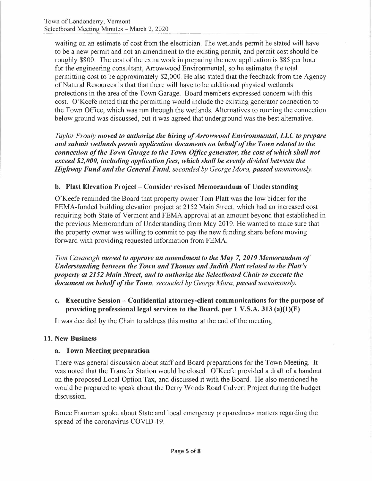waiting on an estimate of cost from the electrician. The wetlands permit he stated will have to be a new permit and not an amendment to the existing permit, and permit cost should be roughly \$800. The cost of the extra work in preparing the new application is \$85 per hour for the engineering consultant, Arroww ood Environmental, so he estimates the total permitting cost to be approximately \$2,000. He also stated that the feedback from the Agency of Natural Resources is that that there will have to be additional physical wetlands protections in the area of the Town Garage. Board members expressed concern with this cost. O'Keefe noted that the permitting would include the existing generator connection to the Town Office, which was run through the wetlands. Alternatives to running the connection below ground was discussed, but it was agreed that underground was the best alternative.

*Taylor Prouty moved to authorize the hiring of Arrowwood Environmental, LLC to prepare and submit wetlands permit application documents on behalf of the Town related to the connection of the Town Garage to the Town Office generator, the cost of which shall not exceed \$2,000, including application fees, which shall be evenly divided between the Highway Fund and the General Fund, seconded by George Mora, passed unanimously.* 

#### **b. Platt Elevation Project – Consider revised Memorandum of Understanding**

O'Keefe reminded the Board that property owner Tom Platt was the low bidder for the FEMA-funded building elevation project at 2152 Main Street, which had an increased cost requiring both State of Vermont and FEMA approval at an amount beyond that established in the previous Memorandum of Understanding from May 2019. He wanted to make sure that the property owner was willing to commit to pay the new funding share before moving forward with providing requested information from FEMA.

*Tom Cavanagh moved to approve an amendment to the May* 7, *2019 Memorandum of Understanding between the Town and Thomas and Judith Platt related to the Platt's property at 2152 Main Street, and to authorize the Selectboard Chair to execute the document on behalf of the Town, seconded by George Mora, passed unanimously.* 

**c. Executive Session - Confidential attorney-client communications for the purpose of providing professional legal services to the Board, per 1 V.S.A. 313 (a)(l)(F)** 

It was decided by the Chair to address this matter at the end of the meeting.

# **11. New Business**

#### **a. Town Meeting preparation**

There was general discussion about staff and Board preparations for the Town Meeting. It was noted that the Transfer Station would be closed. O'Keefe provided a draft of a handout on the proposed Local Option Tax, and discussed it with the Board. He also mentioned he would be prepared to speak about the Derry Woods Road Culvert Project during the budget discussion.

Bruce Frauman spoke about State and local emergency preparedness matters regarding the spread of the coronavirus COVID-19.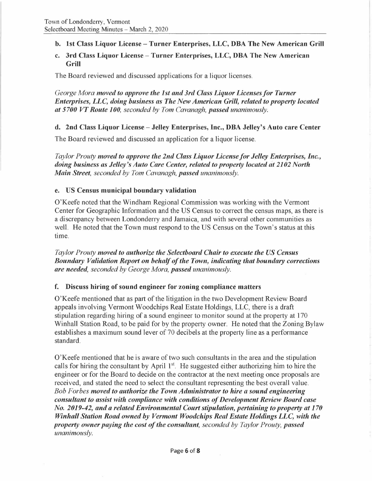**b. 1st Class Liquor License-Turner Enterprises, LLC, DBA The New American Grill** 

### **c. 3rd Class Liquor License - Turner Enterprises, LLC, DBA The New American Grill**

The Board reviewed and discussed applications for a liquor licenses.

*George Mora moved to approve the 1st and 3rd Class Liquor Licenses/or Turner Enterprises, LLC, doing business as The New American Grill, related to property located at 5700 VT Route 100, seconded by Tom Cavanagh, passed unanimously.* 

# **d. 2nd Class Liquor License - Jelley Enterprises, Inc., DBA Jelley's Auto care Center**

The Board reviewed and discussed an application for a liquor license.

*Taylor Prouty moved to approve the 2nd Class Liquor License for Jelley Enterprises, Inc., doing business as Jelley 's Auto Care Center, related to property located at 2102 North Main Street, seconded by Tom Cavanagh, passed unanimously.* 

#### **e. US Census municipal boundary validation**

O'Keefe noted that the Windham Regional Commission was working with the Vermont Center for Geographic Information and the US Census to correct the census maps, as there is a discrepancy between Londonderry and Jamaica, and with several other communities as well. He noted that the Town must respond to the US Census on the Town's status at this time.

*Taylor Prouty moved to authorize the Selectboard Chair to execute the US Census Boundary Validation Report on behalf of the Town, indicating that boundary corrections are needed, seconded by George Mora, passed unanimously.* 

#### **f. Discuss hiring of sound engineer for zoning compliance matters**

O'Keefe mentioned that as part of the litigation in the two Development Review Board appeals involving Vermont Woodchips Real Estate Holdings, LLC, there is a draft stipulation regarding hiring of a sound engineer to monitor sound at the property at 170 Winhall Station Road, to be paid for by the property owner. He noted that the Zoning Bylaw establishes a maximum sound lever of 70 decibels at the property line as a performance standard.

O'Keefe mentioned that he is aware of two such consultants in the area and the stipulation calls for hiring the consultant by April 1<sup>st</sup>. He suggested either authorizing him to hire the engineer or for the Board to decide on the contractor at the next meeting once proposals are received, and stated the need to select the consultant representing the best overall value. *Bob Forbes moved to authorize the Town Administrator to hire a sound engineering consultant to assist with compliance with conditions of Development Review Board case No. 2019-42, and a related Environmental Court stipulation, pertaining to property at 170 Winhall Station Road owned by Vermont Woodchips Real Estate Holdings LLC, with the property owner paying the cost of the consultant, seconded by Taylor Prouty, passed unanimously.*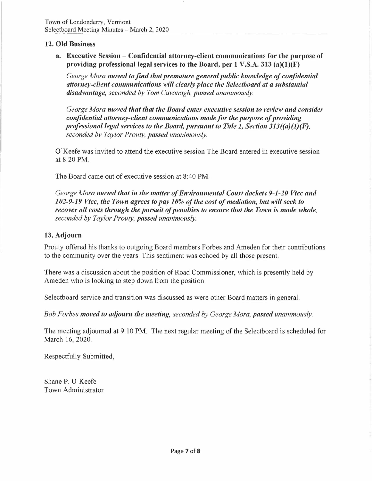#### **12. Old Business**

**a. Executive Session - Confidential attorney-client communications for the purpose of providing professional legal services to the Board, per 1 V.S.A. 313 (a)(l)(F)** 

*George Mora moved to find that premature general public knowledge of confidential attorney-client communications will clearly place the Selectboard at a substantial disadvantage, seconded by Tom Cavanagh, passed unanimously.* 

*George Mora moved that that the Board enter executive session to review and consider confidential attorney-client communications made for the purpose of providing professional legal services to the Board, pursuant to Title 1, Section 313((a)(l)(F), seconded by Taylor Prouty, passed unanimously.* 

O'Keefe was invited to attend the executive session The Board entered in executive session at 8:20 **PM.** 

The Board came out of executive session at 8:40 **PM.** 

*George Mora moved that in the matter of Environmental Court dockets 9-1-20 Vtec and 102-9-19 Vtec, the Town agrees to pay 10% of the cost of mediation, but will seek to recover all costs through the pursuit of penalties to ensure that the Town is made whole, seconded by Taylor Prouty, passed unanimously.* 

#### **13. Adjourn**

Prouty offered his thanks to outgoing Board members Forbes and Ameden for their contributions to the community over the years. This sentiment was echoed by all those present.

There was a discussion about the position of Road Commissioner, which is presently held by Ameden who is looking to step down from the position.

Selectboard service and transition was discussed as were other Board matters in general.

*Bob Forbes moved to adjourn the meeting, seconded by George Mora, passed unanimously.* 

The meeting adjourned at 9: 10 PM. The next regular meeting of the Selectboard is scheduled for March 16, 2020.

Respectfully Submitted,

Shane P. O'Keefe Town Administrator